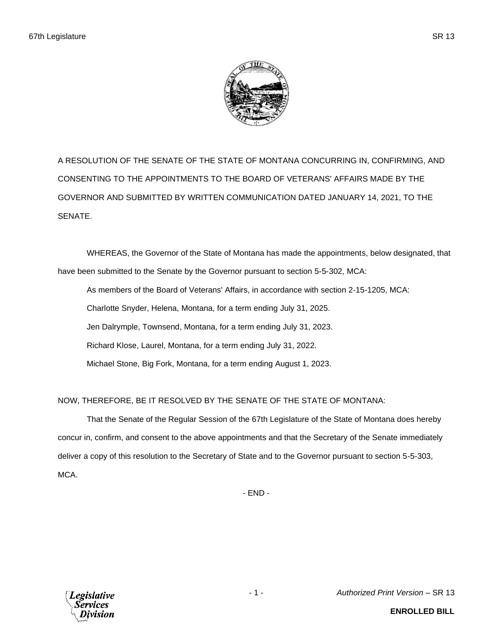

A RESOLUTION OF THE SENATE OF THE STATE OF MONTANA CONCURRING IN, CONFIRMING, AND CONSENTING TO THE APPOINTMENTS TO THE BOARD OF VETERANS' AFFAIRS MADE BY THE GOVERNOR AND SUBMITTED BY WRITTEN COMMUNICATION DATED JANUARY 14, 2021, TO THE SENATE.

WHEREAS, the Governor of the State of Montana has made the appointments, below designated, that have been submitted to the Senate by the Governor pursuant to section 5-5-302, MCA:

As members of the Board of Veterans' Affairs, in accordance with section 2-15-1205, MCA: Charlotte Snyder, Helena, Montana, for a term ending July 31, 2025. Jen Dalrymple, Townsend, Montana, for a term ending July 31, 2023. Richard Klose, Laurel, Montana, for a term ending July 31, 2022. Michael Stone, Big Fork, Montana, for a term ending August 1, 2023.

NOW, THEREFORE, BE IT RESOLVED BY THE SENATE OF THE STATE OF MONTANA:

That the Senate of the Regular Session of the 67th Legislature of the State of Montana does hereby concur in, confirm, and consent to the above appointments and that the Secretary of the Senate immediately deliver a copy of this resolution to the Secretary of State and to the Governor pursuant to section 5-5-303, MCA.

- END -



- 1 - *Authorized Print Version* – SR 13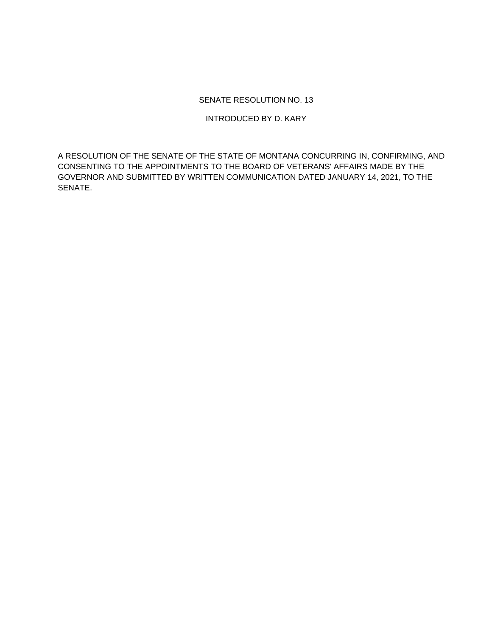## SENATE RESOLUTION NO. 13

INTRODUCED BY D. KARY

A RESOLUTION OF THE SENATE OF THE STATE OF MONTANA CONCURRING IN, CONFIRMING, AND CONSENTING TO THE APPOINTMENTS TO THE BOARD OF VETERANS' AFFAIRS MADE BY THE GOVERNOR AND SUBMITTED BY WRITTEN COMMUNICATION DATED JANUARY 14, 2021, TO THE SENATE.